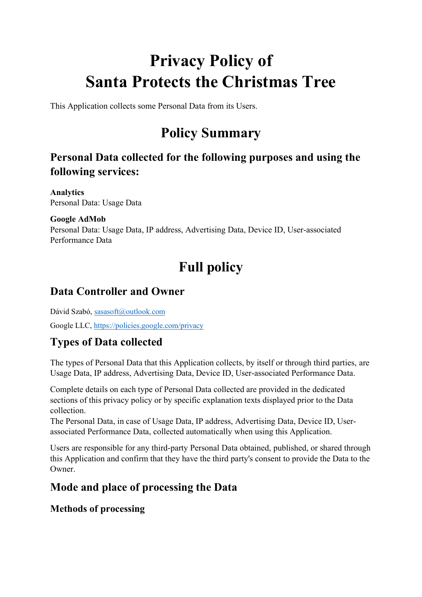# **Privacy Policy of Santa Protects the Christmas Tree**

This Application collects some Personal Data from its Users.

## **Policy Summary**

## **Personal Data collected for the following purposes and using the following services:**

**Analytics** Personal Data: Usage Data

#### **Google AdMob**

Personal Data: Usage Data, IP address, Advertising Data, Device ID, User-associated Performance Data

## **Full policy**

### **Data Controller and Owner**

Dávid Szabó, [sasasoft@outlook.com](mailto:sasasoft@outlook.com)

Google LLC,<https://policies.google.com/privacy>

## **Types of Data collected**

The types of Personal Data that this Application collects, by itself or through third parties, are Usage Data, IP address, Advertising Data, Device ID, User-associated Performance Data.

Complete details on each type of Personal Data collected are provided in the dedicated sections of this privacy policy or by specific explanation texts displayed prior to the Data collection.

The Personal Data, in case of Usage Data, IP address, Advertising Data, Device ID, Userassociated Performance Data, collected automatically when using this Application.

Users are responsible for any third-party Personal Data obtained, published, or shared through this Application and confirm that they have the third party's consent to provide the Data to the Owner.

## **Mode and place of processing the Data**

#### **Methods of processing**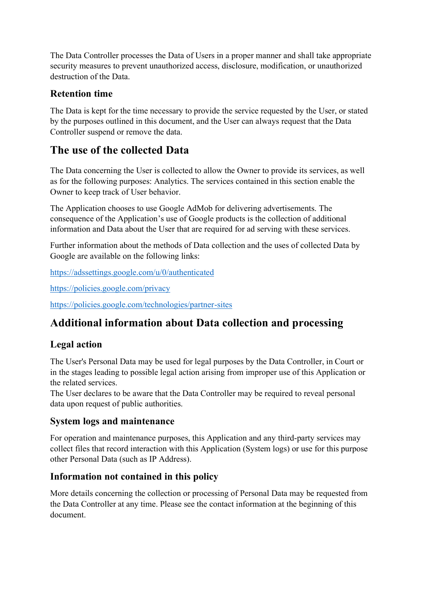The Data Controller processes the Data of Users in a proper manner and shall take appropriate security measures to prevent unauthorized access, disclosure, modification, or unauthorized destruction of the Data.

#### **Retention time**

The Data is kept for the time necessary to provide the service requested by the User, or stated by the purposes outlined in this document, and the User can always request that the Data Controller suspend or remove the data.

## **The use of the collected Data**

The Data concerning the User is collected to allow the Owner to provide its services, as well as for the following purposes: Analytics. The services contained in this section enable the Owner to keep track of User behavior.

The Application chooses to use Google AdMob for delivering advertisements. The consequence of the Application's use of Google products is the collection of additional information and Data about the User that are required for ad serving with these services.

Further information about the methods of Data collection and the uses of collected Data by Google are available on the following links:

<https://adssettings.google.com/u/0/authenticated>

<https://policies.google.com/privacy>

<https://policies.google.com/technologies/partner-sites>

## **Additional information about Data collection and processing**

#### **Legal action**

The User's Personal Data may be used for legal purposes by the Data Controller, in Court or in the stages leading to possible legal action arising from improper use of this Application or the related services.

The User declares to be aware that the Data Controller may be required to reveal personal data upon request of public authorities.

#### **System logs and maintenance**

For operation and maintenance purposes, this Application and any third-party services may collect files that record interaction with this Application (System logs) or use for this purpose other Personal Data (such as IP Address).

#### **Information not contained in this policy**

More details concerning the collection or processing of Personal Data may be requested from the Data Controller at any time. Please see the contact information at the beginning of this document.